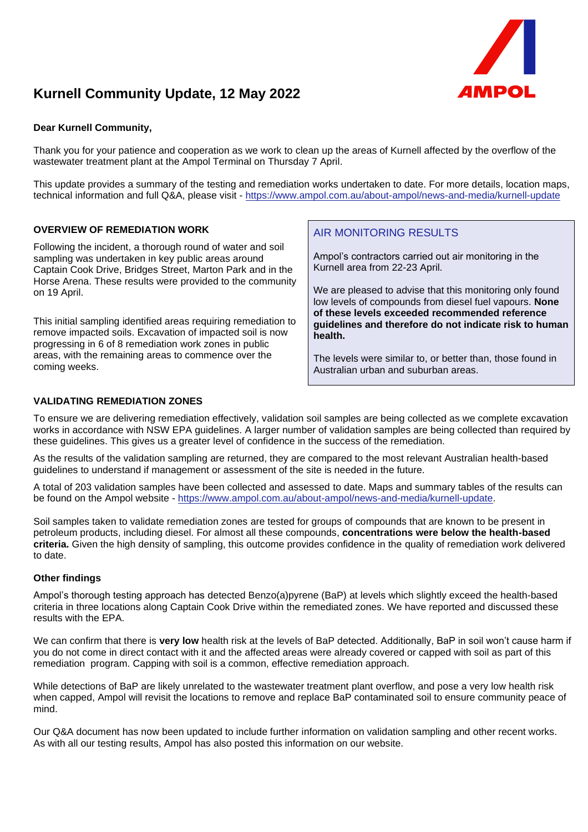

# **Kurnell Community Update, 12 May 2022**

## **Dear Kurnell Community,**

Thank you for your patience and cooperation as we work to clean up the areas of Kurnell affected by the overflow of the wastewater treatment plant at the Ampol Terminal on Thursday 7 April.

This update provides a summary of the testing and remediation works undertaken to date. For more details, location maps, technical information and full Q&A, please visit - <https://www.ampol.com.au/about-ampol/news-and-media/kurnell-update>

## **OVERVIEW OF REMEDIATION WORK**

Following the incident, a thorough round of water and soil sampling was undertaken in key public areas around Captain Cook Drive, Bridges Street, Marton Park and in the Horse Arena. These results were provided to the community on 19 April.

This initial sampling identified areas requiring remediation to remove impacted soils. Excavation of impacted soil is now progressing in 6 of 8 remediation work zones in public areas, with the remaining areas to commence over the coming weeks.

# AIR MONITORING RESULTS

Ampol's contractors carried out air monitoring in the Kurnell area from 22-23 April.

We are pleased to advise that this monitoring only found low levels of compounds from diesel fuel vapours. **None of these levels exceeded recommended reference guidelines and therefore do not indicate risk to human health.**

The levels were similar to, or better than, those found in Australian urban and suburban areas.

#### **VALIDATING REMEDIATION ZONES**

To ensure we are delivering remediation effectively, validation soil samples are being collected as we complete excavation works in accordance with NSW EPA guidelines. A larger number of validation samples are being collected than required by these guidelines. This gives us a greater level of confidence in the success of the remediation.

As the results of the validation sampling are returned, they are compared to the most relevant Australian health-based guidelines to understand if management or assessment of the site is needed in the future.

A total of 203 validation samples have been collected and assessed to date. Maps and summary tables of the results can be found on the Ampol website - [https://www.ampol.com.au/about-ampol/news-and-media/kurnell-update.](https://www.ampol.com.au/about-ampol/news-and-media/kurnell-update)

Soil samples taken to validate remediation zones are tested for groups of compounds that are known to be present in petroleum products, including diesel. For almost all these compounds, **concentrations were below the health-based criteria.** Given the high density of sampling, this outcome provides confidence in the quality of remediation work delivered to date.

### **Other findings**

Ampol's thorough testing approach has detected Benzo(a)pyrene (BaP) at levels which slightly exceed the health-based criteria in three locations along Captain Cook Drive within the remediated zones. We have reported and discussed these results with the EPA.

We can confirm that there is **very low** health risk at the levels of BaP detected. Additionally, BaP in soil won't cause harm if you do not come in direct contact with it and the affected areas were already covered or capped with soil as part of this remediation program. Capping with soil is a common, effective remediation approach.

While detections of BaP are likely unrelated to the wastewater treatment plant overflow, and pose a very low health risk when capped, Ampol will revisit the locations to remove and replace BaP contaminated soil to ensure community peace of mind.

Our Q&A document has now been updated to include further information on validation sampling and other recent works. As with all our testing results, Ampol has also posted this information on our website.